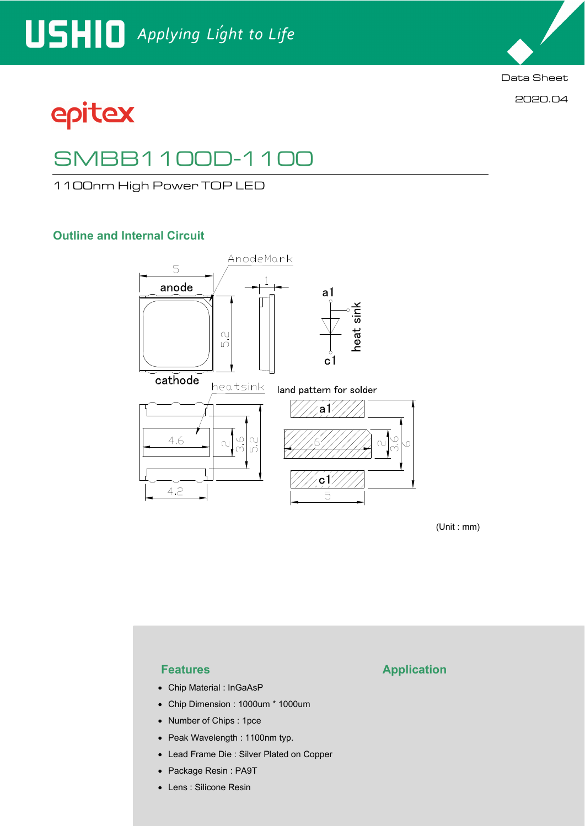

2020.04

epitex

# SMBB1100D-1100

1100nm High Power TOP LED

## **Outline and Internal Circuit**



(Unit : mm)

- Chip Material : InGaAsP
- Chip Dimension : 1000um \* 1000um
- Number of Chips : 1pce
- Peak Wavelength : 1100nm typ.
- Lead Frame Die : Silver Plated on Copper
- Package Resin : PA9T
- Lens : Silicone Resin

### **Features Application**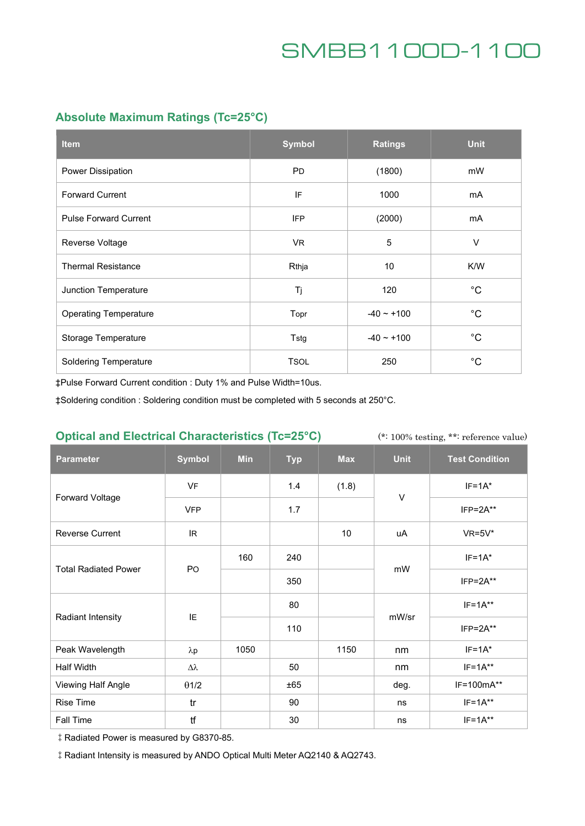## **Absolute Maximum Ratings (Tc=25°C)**

| <b>Item</b>                  | <b>Symbol</b> | <b>Ratings</b>  | <b>Unit</b>  |
|------------------------------|---------------|-----------------|--------------|
| Power Dissipation            | <b>PD</b>     | (1800)          | mW           |
| <b>Forward Current</b>       | IF            | 1000            | mA           |
| <b>Pulse Forward Current</b> | <b>IFP</b>    | (2000)          | mA           |
| Reverse Voltage              | <b>VR</b>     | 5               | $\vee$       |
| <b>Thermal Resistance</b>    | Rthja         | 10 <sup>°</sup> | K/W          |
| Junction Temperature         | Tj            | 120             | $^{\circ}$ C |
| <b>Operating Temperature</b> | Topr          | $-40 \sim +100$ | $^{\circ}C$  |
| Storage Temperature          | Tstg          | $-40 - +100$    | $^{\circ}C$  |
| <b>Soldering Temperature</b> | <b>TSOL</b>   | 250             | $^{\circ}C$  |

‡Pulse Forward Current condition : Duty 1% and Pulse Width=10us.

‡Soldering condition : Soldering condition must be completed with 5 seconds at 250°C.

### **Optical and Electrical Characteristics (Tc=25°C)**

(\*: 100% testing, \*\*: reference value)

| <b>Parameter</b>            | <b>Symbol</b>    | <b>Min</b> | <b>Typ</b> | <b>Max</b> | <b>Unit</b> | <b>Test Condition</b> |
|-----------------------------|------------------|------------|------------|------------|-------------|-----------------------|
| Forward Voltage             | <b>VF</b>        |            | 1.4        | (1.8)      | $\vee$      | $IF=1A*$              |
|                             | <b>VFP</b>       |            | 1.7        |            |             | $IFP = 2A**$          |
| <b>Reverse Current</b>      | IR.              |            |            | 10         | uA          | $VR=5V^*$             |
| <b>Total Radiated Power</b> | PO               | 160        | 240        |            | mW          | $IF=1A*$              |
|                             |                  |            | 350        |            |             | $IFP = 2A**$          |
| <b>Radiant Intensity</b>    | IE               |            | 80         |            | mW/sr       | $IF=1A**$             |
|                             |                  |            | 110        |            |             | $IFP = 2A**$          |
| Peak Wavelength             | $\lambda p$      | 1050       |            | 1150       | nm          | $IF=1A*$              |
| Half Width                  | $\Delta \lambda$ |            | 50         |            | nm          | $IF=1A**$             |
| Viewing Half Angle          | $\theta$ 1/2     |            | ±65        |            | deg.        | IF=100mA**            |
| <b>Rise Time</b>            | tr               |            | 90         |            | ns          | $IF=1A***$            |
| Fall Time                   | tf               |            | 30         |            | ns          | $IF=1A***$            |

‡Radiated Power is measured by G8370-85.

‡Radiant Intensity is measured by ANDO Optical Multi Meter AQ2140 & AQ2743.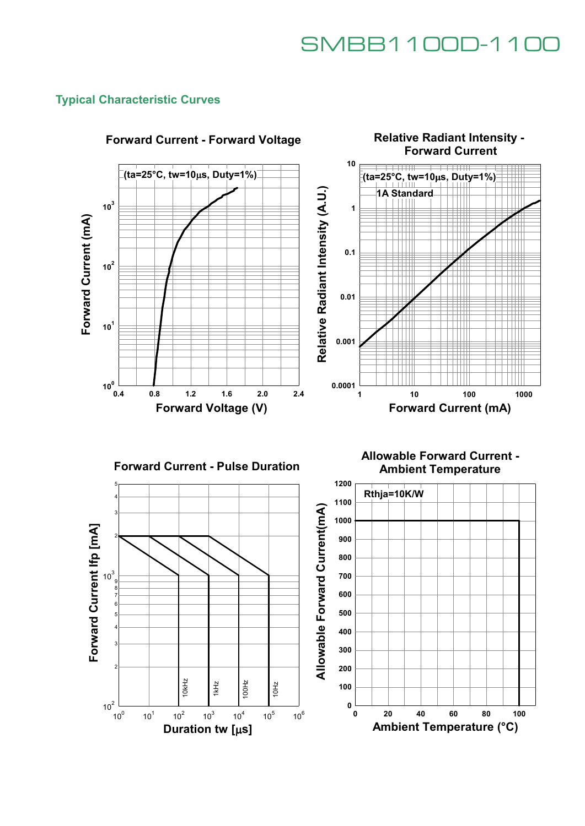**Relative Radiant Intensity -** 

### **Typical Characteristic Curves**



## **Forward Current - Forward Voltage**



**Forward Current - Pulse Duration**



**Allowable Forward Current - Ambient Temperature**

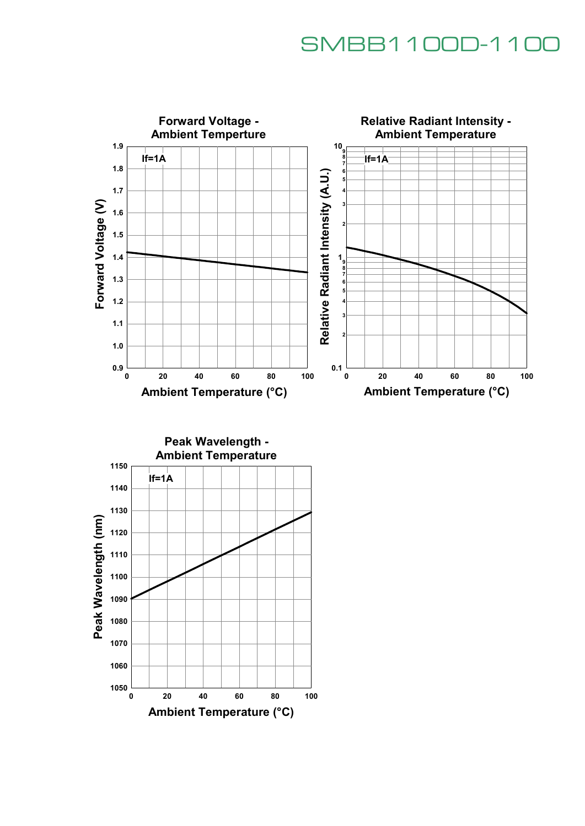

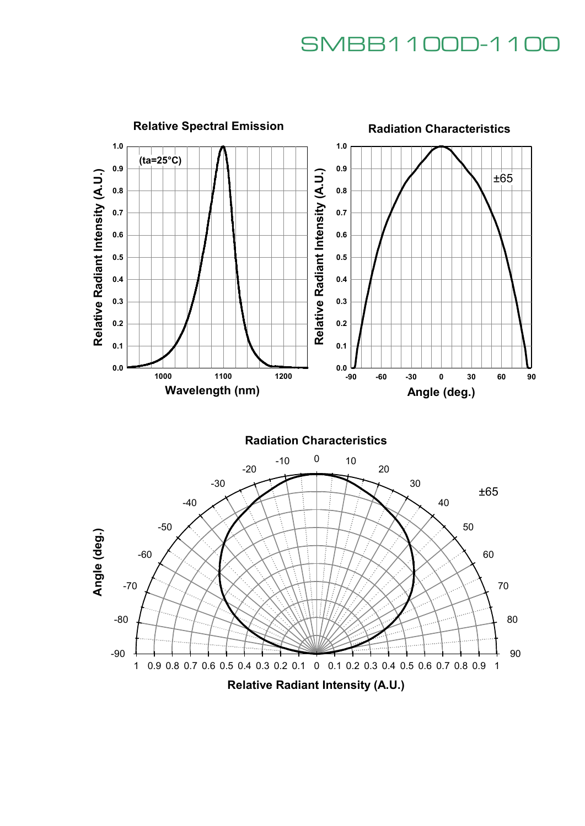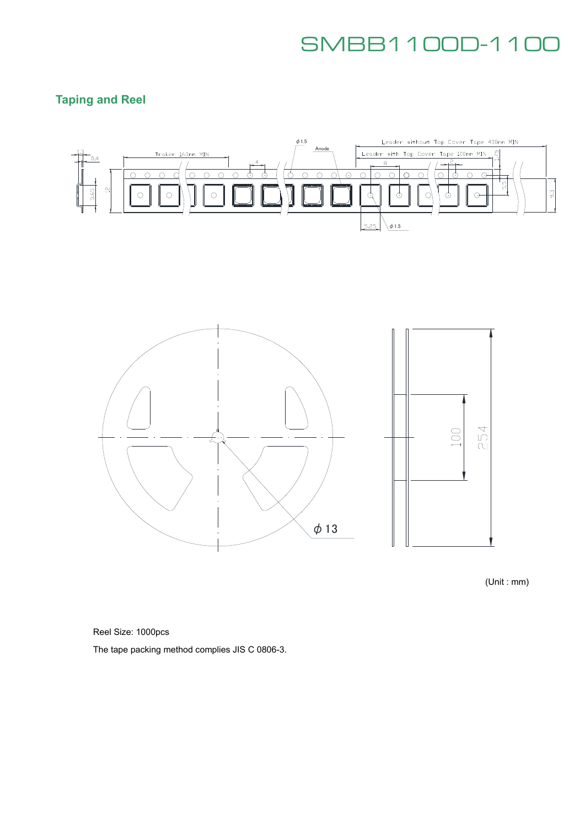## **Taping and Reel**





(Unit : mm)

Reel Size: 1000pcs

The tape packing method complies JIS C 0806-3.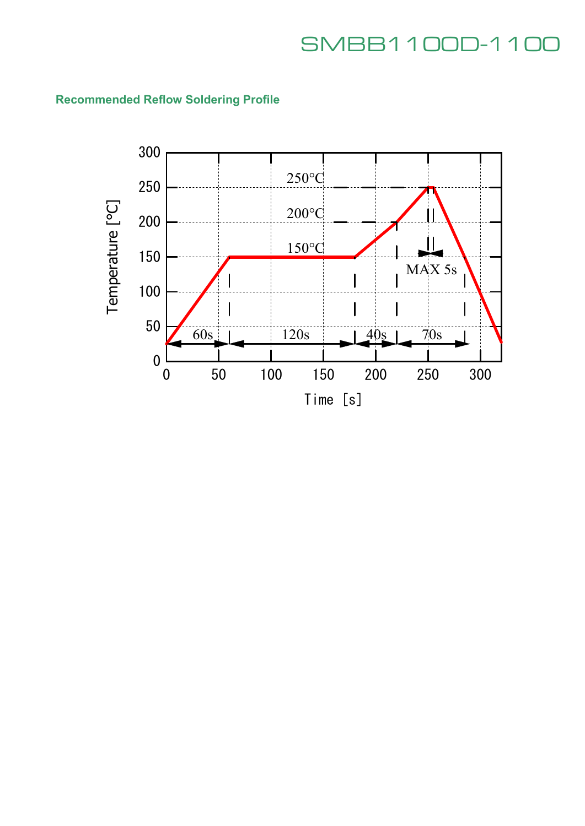

## **Recommended Reflow Soldering Profile**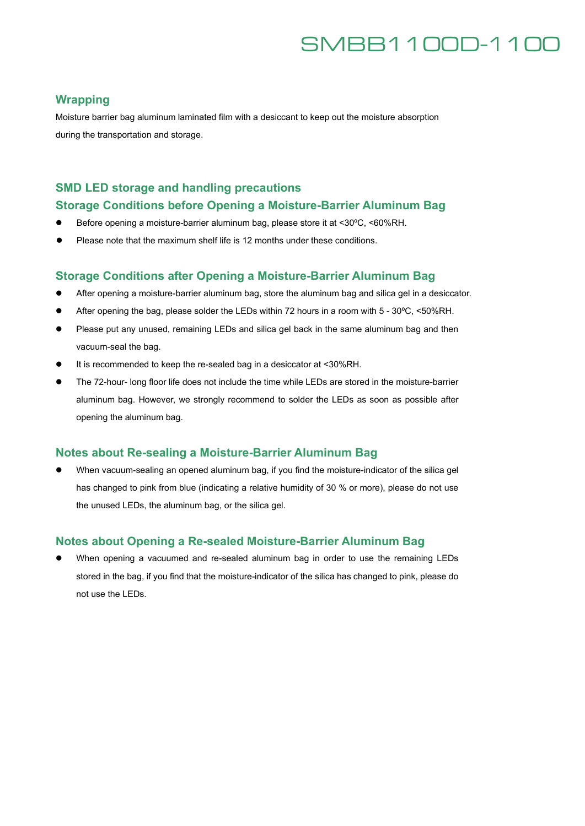### **Wrapping**

Moisture barrier bag aluminum laminated film with a desiccant to keep out the moisture absorption during the transportation and storage.

### **SMD LED storage and handling precautions**

### **Storage Conditions before Opening a Moisture-Barrier Aluminum Bag**

- Before opening a moisture-barrier aluminum bag, please store it at <30 °C, <60 % RH.
- Please note that the maximum shelf life is 12 months under these conditions.

#### **Storage Conditions after Opening a Moisture-Barrier Aluminum Bag**

- After opening a moisture-barrier aluminum bag, store the aluminum bag and silica gel in a desiccator.
- After opening the bag, please solder the LEDs within 72 hours in a room with 5 30°C, <50%RH.
- Please put any unused, remaining LEDs and silica gel back in the same aluminum bag and then vacuum-seal the bag.
- It is recommended to keep the re-sealed bag in a desiccator at <30%RH.
- The 72-hour- long floor life does not include the time while LEDs are stored in the moisture-barrier aluminum bag. However, we strongly recommend to solder the LEDs as soon as possible after opening the aluminum bag.

### **Notes about Re-sealing a Moisture-Barrier Aluminum Bag**

 When vacuum-sealing an opened aluminum bag, if you find the moisture-indicator of the silica gel has changed to pink from blue (indicating a relative humidity of 30 % or more), please do not use the unused LEDs, the aluminum bag, or the silica gel.

### **Notes about Opening a Re-sealed Moisture-Barrier Aluminum Bag**

 When opening a vacuumed and re-sealed aluminum bag in order to use the remaining LEDs stored in the bag, if you find that the moisture-indicator of the silica has changed to pink, please do not use the LEDs.